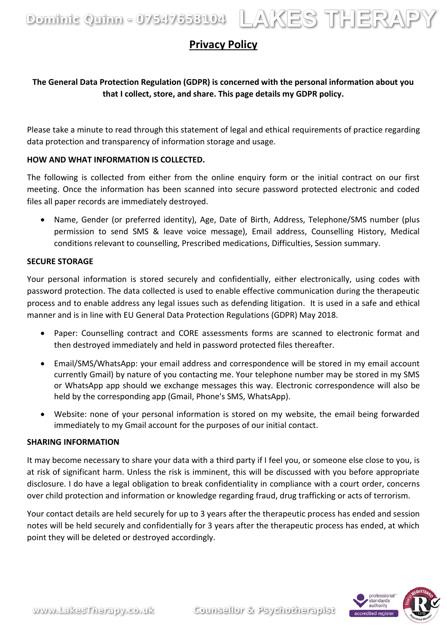Dominic Quinn - 07547658104 LAKES THERAPY

# **Privacy Policy**

## **The General Data Protection Regulation (GDPR) is concerned with the personal information about you that I collect, store, and share. This page details my GDPR policy.**

Please take a minute to read through this statement of legal and ethical requirements of practice regarding data protection and transparency of information storage and usage.

## **HOW AND WHAT INFORMATION IS COLLECTED.**

The following is collected from either from the online enquiry form or the initial contract on our first meeting. Once the information has been scanned into secure password protected electronic and coded files all paper records are immediately destroyed.

• Name, Gender (or preferred identity), Age, Date of Birth, Address, Telephone/SMS number (plus permission to send SMS & leave voice message), Email address, Counselling History, Medical conditions relevant to counselling, Prescribed medications, Difficulties, Session summary.

## **SECURE STORAGE**

Your personal information is stored securely and confidentially, either electronically, using codes with password protection. The data collected is used to enable effective communication during the therapeutic process and to enable address any legal issues such as defending litigation. It is used in a safe and ethical manner and is in line with EU General Data Protection Regulations (GDPR) May 2018.

- Paper: Counselling contract and CORE assessments forms are scanned to electronic format and then destroyed immediately and held in password protected files thereafter.
- Email/SMS/WhatsApp: your email address and correspondence will be stored in my email account currently Gmail) by nature of you contacting me. Your telephone number may be stored in my SMS or WhatsApp app should we exchange messages this way. Electronic correspondence will also be held by the corresponding app (Gmail, Phone's SMS, WhatsApp).
- Website: none of your personal information is stored on my website, the email being forwarded immediately to my Gmail account for the purposes of our initial contact.

## **SHARING INFORMATION**

It may become necessary to share your data with a third party if I feel you, or someone else close to you, is at risk of significant harm. Unless the risk is imminent, this will be discussed with you before appropriate disclosure. I do have a legal obligation to break confidentiality in compliance with a court order, concerns over child protection and information or knowledge regarding fraud, drug trafficking or acts of terrorism.

Your contact details are held securely for up to 3 years after the therapeutic process has ended and session notes will be held securely and confidentially for 3 years after the therapeutic process has ended, at which point they will be deleted or destroyed accordingly.